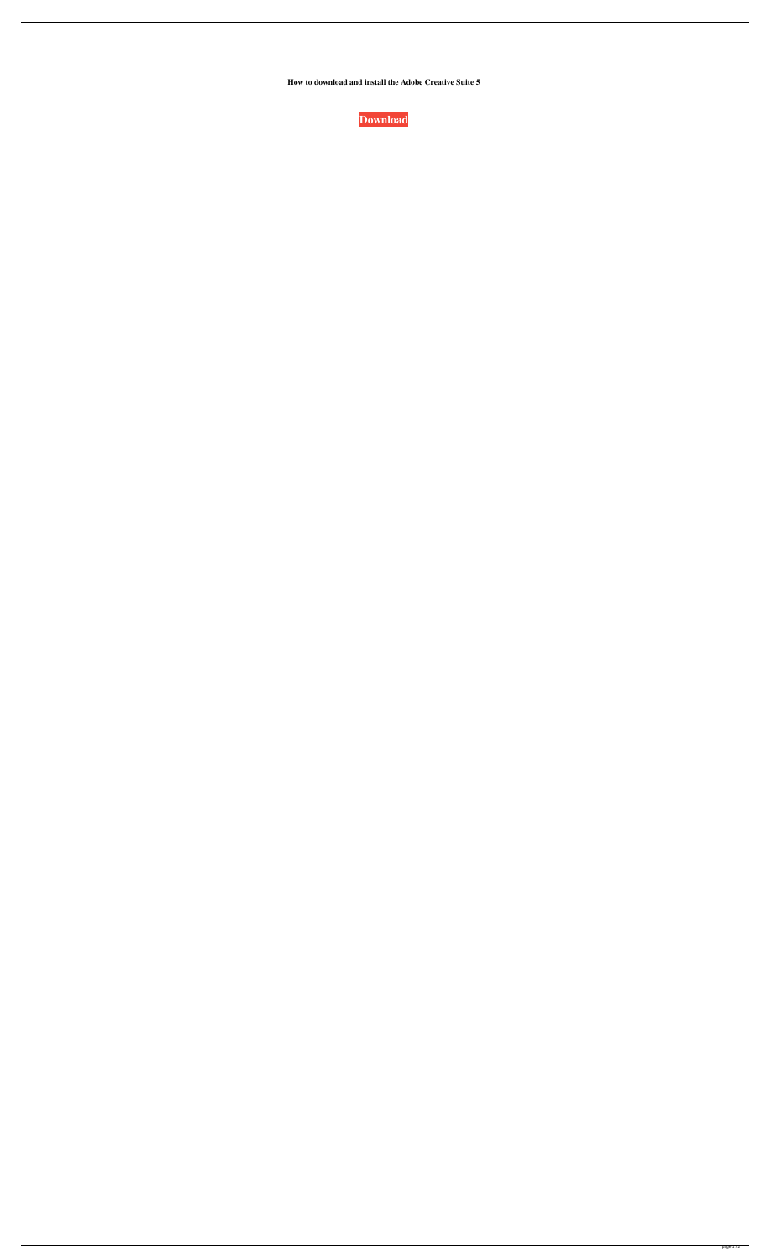**How to download and install the Adobe Creative Suite 5**